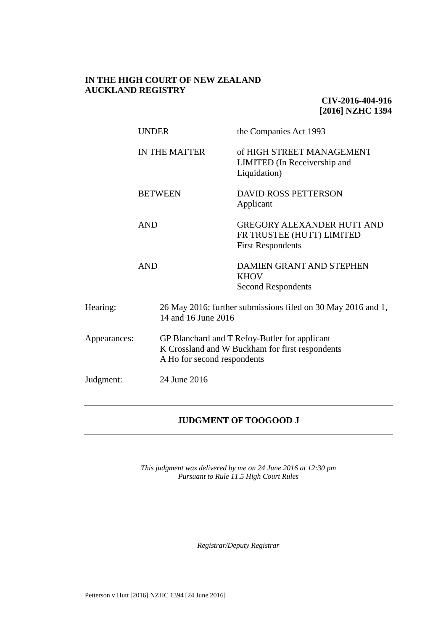## **IN THE HIGH COURT OF NEW ZEALAND AUCKLAND REGISTRY**

**CIV-2016-404-916 [2016] NZHC 1394**

| <b>UNDER</b>              |                             |                                                                                     | the Companies Act 1993                                                                           |  |
|---------------------------|-----------------------------|-------------------------------------------------------------------------------------|--------------------------------------------------------------------------------------------------|--|
|                           | <b>IN THE MATTER</b>        |                                                                                     | of HIGH STREET MANAGEMENT<br>LIMITED (In Receivership and<br>Liquidation)                        |  |
|                           |                             | <b>BETWEEN</b>                                                                      | <b>DAVID ROSS PETTERSON</b><br>Applicant                                                         |  |
|                           | <b>AND</b>                  |                                                                                     | <b>GREGORY ALEXANDER HUTT AND</b><br>FR TRUSTEE (HUTT) LIMITED<br><b>First Respondents</b>       |  |
|                           | <b>AND</b>                  |                                                                                     | <b>DAMIEN GRANT AND STEPHEN</b><br><b>KHOV</b><br><b>Second Respondents</b>                      |  |
| Hearing:                  |                             | 26 May 2016; further submissions filed on 30 May 2016 and 1,<br>14 and 16 June 2016 |                                                                                                  |  |
| Appearances:              | A Ho for second respondents |                                                                                     | GP Blanchard and T Refoy-Butler for applicant<br>K Crossland and W Buckham for first respondents |  |
| 24 June 2016<br>Judgment: |                             |                                                                                     |                                                                                                  |  |

# **JUDGMENT OF TOOGOOD J**

*This judgment was delivered by me on 24 June 2016 at 12:30 pm Pursuant to Rule 11.5 High Court Rules*

*Registrar/Deputy Registrar*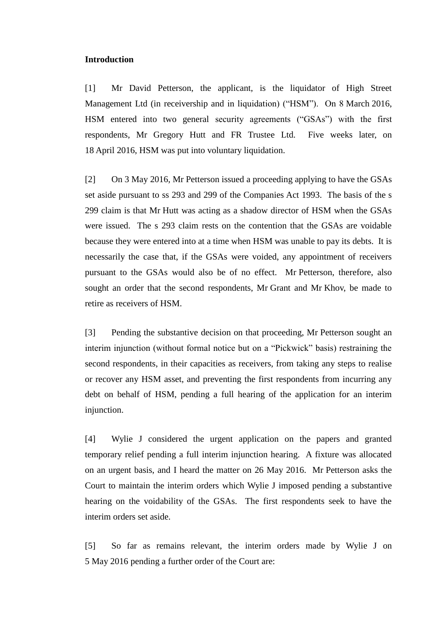#### **Introduction**

[1] Mr David Petterson, the applicant, is the liquidator of High Street Management Ltd (in receivership and in liquidation) ("HSM"). On 8 March 2016, HSM entered into two general security agreements ("GSAs") with the first respondents, Mr Gregory Hutt and FR Trustee Ltd. Five weeks later, on 18 April 2016, HSM was put into voluntary liquidation.

[2] On 3 May 2016, Mr Petterson issued a proceeding applying to have the GSAs set aside pursuant to ss 293 and 299 of the Companies Act 1993. The basis of the s 299 claim is that Mr Hutt was acting as a shadow director of HSM when the GSAs were issued. The s 293 claim rests on the contention that the GSAs are voidable because they were entered into at a time when HSM was unable to pay its debts. It is necessarily the case that, if the GSAs were voided, any appointment of receivers pursuant to the GSAs would also be of no effect. Mr Petterson, therefore, also sought an order that the second respondents, Mr Grant and Mr Khov, be made to retire as receivers of HSM.

[3] Pending the substantive decision on that proceeding, Mr Petterson sought an interim injunction (without formal notice but on a "Pickwick" basis) restraining the second respondents, in their capacities as receivers, from taking any steps to realise or recover any HSM asset, and preventing the first respondents from incurring any debt on behalf of HSM, pending a full hearing of the application for an interim injunction.

[4] Wylie J considered the urgent application on the papers and granted temporary relief pending a full interim injunction hearing. A fixture was allocated on an urgent basis, and I heard the matter on 26 May 2016. Mr Petterson asks the Court to maintain the interim orders which Wylie J imposed pending a substantive hearing on the voidability of the GSAs. The first respondents seek to have the interim orders set aside.

<span id="page-1-0"></span>[5] So far as remains relevant, the interim orders made by Wylie J on 5 May 2016 pending a further order of the Court are: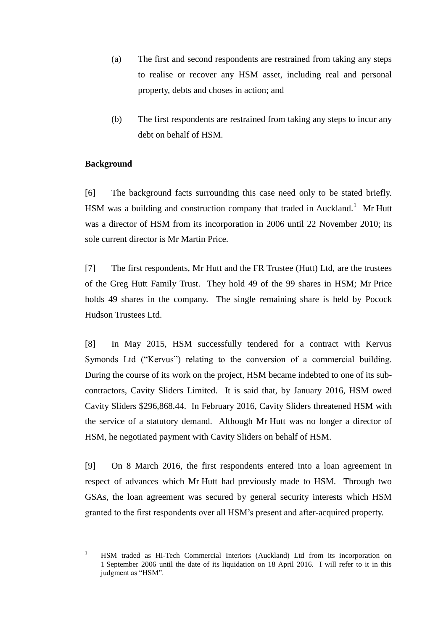- (a) The first and second respondents are restrained from taking any steps to realise or recover any HSM asset, including real and personal property, debts and choses in action; and
- (b) The first respondents are restrained from taking any steps to incur any debt on behalf of HSM.

### **Background**

 $\overline{a}$ 

[6] The background facts surrounding this case need only to be stated briefly. HSM was a building and construction company that traded in Auckland.<sup>1</sup> Mr Hutt was a director of HSM from its incorporation in 2006 until 22 November 2010; its sole current director is Mr Martin Price.

[7] The first respondents, Mr Hutt and the FR Trustee (Hutt) Ltd, are the trustees of the Greg Hutt Family Trust. They hold 49 of the 99 shares in HSM; Mr Price holds 49 shares in the company. The single remaining share is held by Pocock Hudson Trustees Ltd.

[8] In May 2015, HSM successfully tendered for a contract with Kervus Symonds Ltd ("Kervus") relating to the conversion of a commercial building. During the course of its work on the project, HSM became indebted to one of its subcontractors, Cavity Sliders Limited. It is said that, by January 2016, HSM owed Cavity Sliders \$296,868.44. In February 2016, Cavity Sliders threatened HSM with the service of a statutory demand. Although Mr Hutt was no longer a director of HSM, he negotiated payment with Cavity Sliders on behalf of HSM.

[9] On 8 March 2016, the first respondents entered into a loan agreement in respect of advances which Mr Hutt had previously made to HSM. Through two GSAs, the loan agreement was secured by general security interests which HSM granted to the first respondents over all HSM's present and after-acquired property.

<sup>1</sup> HSM traded as Hi-Tech Commercial Interiors (Auckland) Ltd from its incorporation on 1 September 2006 until the date of its liquidation on 18 April 2016. I will refer to it in this judgment as "HSM".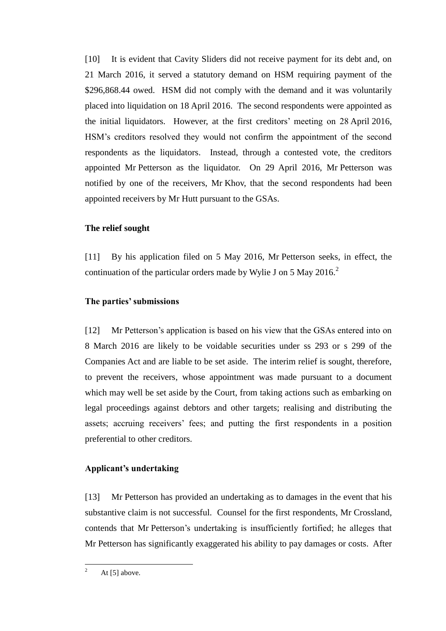[10] It is evident that Cavity Sliders did not receive payment for its debt and, on 21 March 2016, it served a statutory demand on HSM requiring payment of the \$296,868.44 owed. HSM did not comply with the demand and it was voluntarily placed into liquidation on 18 April 2016. The second respondents were appointed as the initial liquidators. However, at the first creditors' meeting on 28 April 2016, HSM's creditors resolved they would not confirm the appointment of the second respondents as the liquidators. Instead, through a contested vote, the creditors appointed Mr Petterson as the liquidator. On 29 April 2016, Mr Petterson was notified by one of the receivers, Mr Khov, that the second respondents had been appointed receivers by Mr Hutt pursuant to the GSAs.

### **The relief sought**

[11] By his application filed on 5 May 2016, Mr Petterson seeks, in effect, the continuation of the particular orders made by Wylie J on 5 May 2016.<sup>2</sup>

#### **The parties' submissions**

[12] Mr Petterson's application is based on his view that the GSAs entered into on 8 March 2016 are likely to be voidable securities under ss 293 or s 299 of the Companies Act and are liable to be set aside. The interim relief is sought, therefore, to prevent the receivers, whose appointment was made pursuant to a document which may well be set aside by the Court, from taking actions such as embarking on legal proceedings against debtors and other targets; realising and distributing the assets; accruing receivers' fees; and putting the first respondents in a position preferential to other creditors.

## **Applicant's undertaking**

[13] Mr Petterson has provided an undertaking as to damages in the event that his substantive claim is not successful. Counsel for the first respondents, Mr Crossland, contends that Mr Petterson's undertaking is insufficiently fortified; he alleges that Mr Petterson has significantly exaggerated his ability to pay damages or costs. After

 $\overline{2}$ At  $[5]$  above.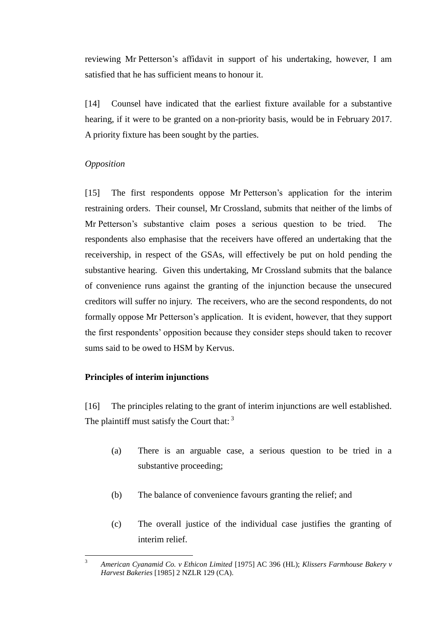reviewing Mr Petterson's affidavit in support of his undertaking, however, I am satisfied that he has sufficient means to honour it.

[14] Counsel have indicated that the earliest fixture available for a substantive hearing, if it were to be granted on a non-priority basis, would be in February 2017. A priority fixture has been sought by the parties.

## *Opposition*

[15] The first respondents oppose Mr Petterson's application for the interim restraining orders. Their counsel, Mr Crossland, submits that neither of the limbs of Mr Petterson's substantive claim poses a serious question to be tried. The respondents also emphasise that the receivers have offered an undertaking that the receivership, in respect of the GSAs, will effectively be put on hold pending the substantive hearing. Given this undertaking, Mr Crossland submits that the balance of convenience runs against the granting of the injunction because the unsecured creditors will suffer no injury. The receivers, who are the second respondents, do not formally oppose Mr Petterson's application. It is evident, however, that they support the first respondents' opposition because they consider steps should taken to recover sums said to be owed to HSM by Kervus.

## **Principles of interim injunctions**

[16] The principles relating to the grant of interim injunctions are well established. The plaintiff must satisfy the Court that: <sup>3</sup>

- (a) There is an arguable case, a serious question to be tried in a substantive proceeding;
- (b) The balance of convenience favours granting the relief; and
- (c) The overall justice of the individual case justifies the granting of interim relief.

 $\overline{3}$ <sup>3</sup> *American Cyanamid Co. v Ethicon Limited* [1975] AC 396 (HL); *Klissers Farmhouse Bakery v Harvest Bakeries* [1985] 2 NZLR 129 (CA).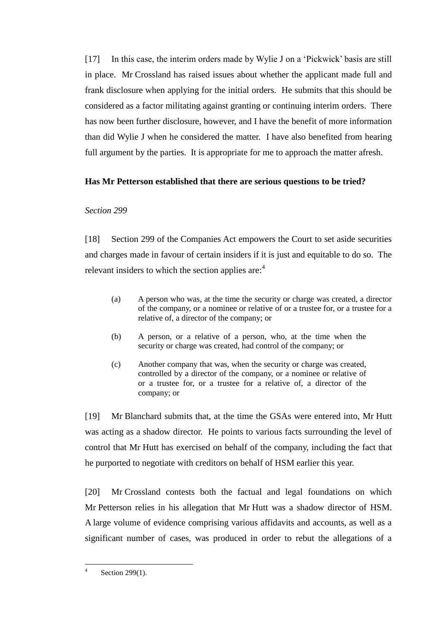[17] In this case, the interim orders made by Wylie J on a 'Pickwick' basis are still in place. Mr Crossland has raised issues about whether the applicant made full and frank disclosure when applying for the initial orders. He submits that this should be considered as a factor militating against granting or continuing interim orders. There has now been further disclosure, however, and I have the benefit of more information than did Wylie J when he considered the matter. I have also benefited from hearing full argument by the parties. It is appropriate for me to approach the matter afresh.

# **Has Mr Petterson established that there are serious questions to be tried?**

## *Section 299*

[18] Section 299 of the Companies Act empowers the Court to set aside securities and charges made in favour of certain insiders if it is just and equitable to do so. The relevant insiders to which the section applies are:<sup>4</sup>

- (a) A person who was, at the time the security or charge was created, a director of the company, or a nominee or relative of or a trustee for, or a trustee for a relative of, a director of the company; or
- (b) A person, or a relative of a person, who, at the time when the security or charge was created, had control of the company; or
- (c) Another company that was, when the security or charge was created, controlled by a director of the company, or a nominee or relative of or a trustee for, or a trustee for a relative of, a director of the company; or

[19] Mr Blanchard submits that, at the time the GSAs were entered into, Mr Hutt was acting as a shadow director. He points to various facts surrounding the level of control that Mr Hutt has exercised on behalf of the company, including the fact that he purported to negotiate with creditors on behalf of HSM earlier this year.

[20] Mr Crossland contests both the factual and legal foundations on which Mr Petterson relies in his allegation that Mr Hutt was a shadow director of HSM. A large volume of evidence comprising various affidavits and accounts, as well as a significant number of cases, was produced in order to rebut the allegations of a

 $\frac{1}{4}$ Section 299(1).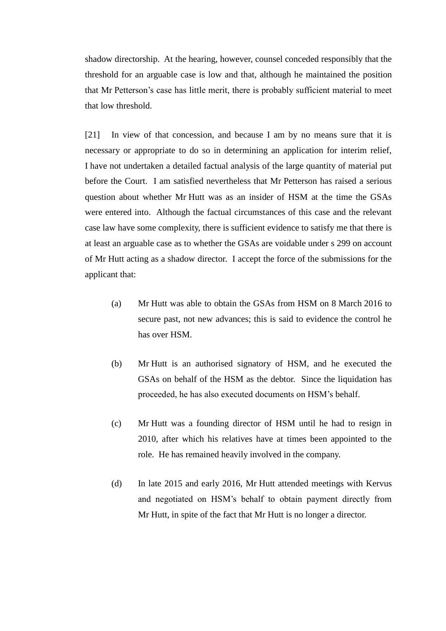shadow directorship. At the hearing, however, counsel conceded responsibly that the threshold for an arguable case is low and that, although he maintained the position that Mr Petterson's case has little merit, there is probably sufficient material to meet that low threshold.

[21] In view of that concession, and because I am by no means sure that it is necessary or appropriate to do so in determining an application for interim relief, I have not undertaken a detailed factual analysis of the large quantity of material put before the Court. I am satisfied nevertheless that Mr Petterson has raised a serious question about whether Mr Hutt was as an insider of HSM at the time the GSAs were entered into. Although the factual circumstances of this case and the relevant case law have some complexity, there is sufficient evidence to satisfy me that there is at least an arguable case as to whether the GSAs are voidable under s 299 on account of Mr Hutt acting as a shadow director. I accept the force of the submissions for the applicant that:

- (a) Mr Hutt was able to obtain the GSAs from HSM on 8 March 2016 to secure past, not new advances; this is said to evidence the control he has over HSM.
- (b) Mr Hutt is an authorised signatory of HSM, and he executed the GSAs on behalf of the HSM as the debtor. Since the liquidation has proceeded, he has also executed documents on HSM's behalf.
- (c) Mr Hutt was a founding director of HSM until he had to resign in 2010, after which his relatives have at times been appointed to the role. He has remained heavily involved in the company.
- (d) In late 2015 and early 2016, Mr Hutt attended meetings with Kervus and negotiated on HSM's behalf to obtain payment directly from Mr Hutt, in spite of the fact that Mr Hutt is no longer a director.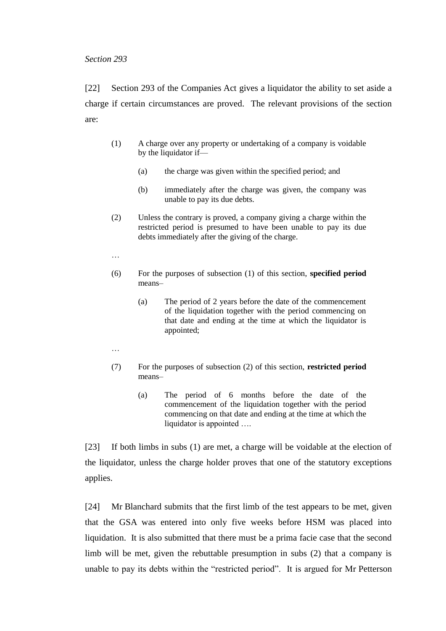#### *Section 293*

[22] Section 293 of the Companies Act gives a liquidator the ability to set aside a charge if certain circumstances are proved. The relevant provisions of the section are:

- (1) A charge over any property or undertaking of a company is voidable by the liquidator if—
	- (a) the charge was given within the specified period; and
	- (b) immediately after the charge was given, the company was unable to pay its due debts.
- (2) Unless the contrary is proved, a company giving a charge within the restricted period is presumed to have been unable to pay its due debts immediately after the giving of the charge.
- …
- (6) For the purposes of subsection (1) of this section, **specified period**  means–
	- (a) The period of 2 years before the date of the commencement of the liquidation together with the period commencing on that date and ending at the time at which the liquidator is appointed;
- …
- (7) For the purposes of subsection (2) of this section, **restricted period**  means–
	- (a) The period of 6 months before the date of the commencement of the liquidation together with the period commencing on that date and ending at the time at which the liquidator is appointed ….

[23] If both limbs in subs (1) are met, a charge will be voidable at the election of the liquidator, unless the charge holder proves that one of the statutory exceptions applies.

[24] Mr Blanchard submits that the first limb of the test appears to be met, given that the GSA was entered into only five weeks before HSM was placed into liquidation. It is also submitted that there must be a prima facie case that the second limb will be met, given the rebuttable presumption in subs (2) that a company is unable to pay its debts within the "restricted period". It is argued for Mr Petterson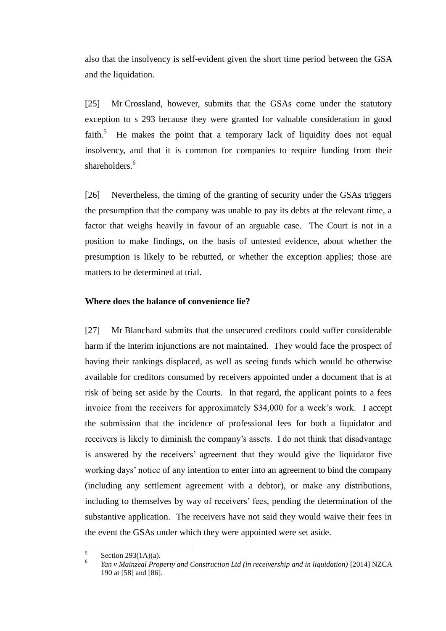also that the insolvency is self-evident given the short time period between the GSA and the liquidation.

[25] Mr Crossland, however, submits that the GSAs come under the statutory exception to s 293 because they were granted for valuable consideration in good faith.<sup>5</sup> He makes the point that a temporary lack of liquidity does not equal insolvency, and that it is common for companies to require funding from their shareholders.<sup>6</sup>

[26] Nevertheless, the timing of the granting of security under the GSAs triggers the presumption that the company was unable to pay its debts at the relevant time, a factor that weighs heavily in favour of an arguable case. The Court is not in a position to make findings, on the basis of untested evidence, about whether the presumption is likely to be rebutted, or whether the exception applies; those are matters to be determined at trial.

#### **Where does the balance of convenience lie?**

[27] Mr Blanchard submits that the unsecured creditors could suffer considerable harm if the interim injunctions are not maintained. They would face the prospect of having their rankings displaced, as well as seeing funds which would be otherwise available for creditors consumed by receivers appointed under a document that is at risk of being set aside by the Courts. In that regard, the applicant points to a fees invoice from the receivers for approximately \$34,000 for a week's work. I accept the submission that the incidence of professional fees for both a liquidator and receivers is likely to diminish the company's assets. I do not think that disadvantage is answered by the receivers' agreement that they would give the liquidator five working days' notice of any intention to enter into an agreement to bind the company (including any settlement agreement with a debtor), or make any distributions, including to themselves by way of receivers' fees, pending the determination of the substantive application. The receivers have not said they would waive their fees in the event the GSAs under which they were appointed were set aside.

 5 Section 293(1A)(a).

<sup>6</sup> *Yan v Mainzeal Property and Construction Ltd (in receivership and in liquidation)* [2014] NZCA 190 at [58] and [86].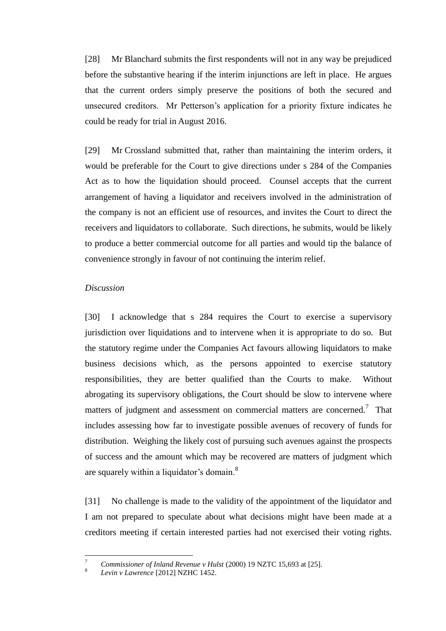[28] Mr Blanchard submits the first respondents will not in any way be prejudiced before the substantive hearing if the interim injunctions are left in place. He argues that the current orders simply preserve the positions of both the secured and unsecured creditors. Mr Petterson's application for a priority fixture indicates he could be ready for trial in August 2016.

[29] Mr Crossland submitted that, rather than maintaining the interim orders, it would be preferable for the Court to give directions under s 284 of the Companies Act as to how the liquidation should proceed. Counsel accepts that the current arrangement of having a liquidator and receivers involved in the administration of the company is not an efficient use of resources, and invites the Court to direct the receivers and liquidators to collaborate. Such directions, he submits, would be likely to produce a better commercial outcome for all parties and would tip the balance of convenience strongly in favour of not continuing the interim relief.

#### *Discussion*

[30] I acknowledge that s 284 requires the Court to exercise a supervisory jurisdiction over liquidations and to intervene when it is appropriate to do so. But the statutory regime under the Companies Act favours allowing liquidators to make business decisions which, as the persons appointed to exercise statutory responsibilities, they are better qualified than the Courts to make. Without abrogating its supervisory obligations, the Court should be slow to intervene where matters of judgment and assessment on commercial matters are concerned.<sup>7</sup> That includes assessing how far to investigate possible avenues of recovery of funds for distribution. Weighing the likely cost of pursuing such avenues against the prospects of success and the amount which may be recovered are matters of judgment which are squarely within a liquidator's domain.<sup>8</sup>

[31] No challenge is made to the validity of the appointment of the liquidator and I am not prepared to speculate about what decisions might have been made at a creditors meeting if certain interested parties had not exercised their voting rights.

 $\overline{a}$ 

<sup>7</sup> *Commissioner of Inland Revenue v Hulst* (2000) 19 NZTC 15,693 at [25].

<sup>8</sup> *Levin v Lawrence* [2012] NZHC 1452.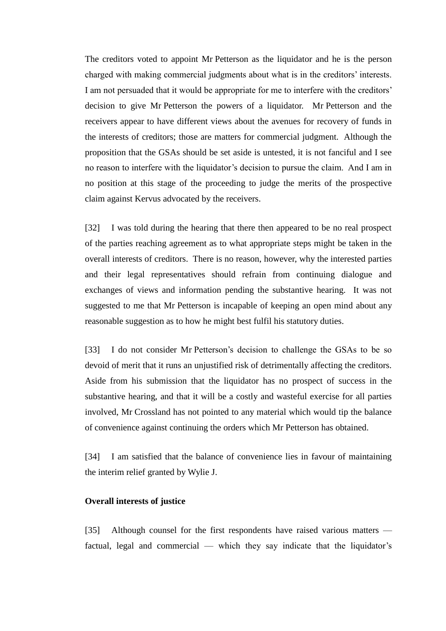The creditors voted to appoint Mr Petterson as the liquidator and he is the person charged with making commercial judgments about what is in the creditors' interests. I am not persuaded that it would be appropriate for me to interfere with the creditors' decision to give Mr Petterson the powers of a liquidator. Mr Petterson and the receivers appear to have different views about the avenues for recovery of funds in the interests of creditors; those are matters for commercial judgment. Although the proposition that the GSAs should be set aside is untested, it is not fanciful and I see no reason to interfere with the liquidator's decision to pursue the claim. And I am in no position at this stage of the proceeding to judge the merits of the prospective claim against Kervus advocated by the receivers.

[32] I was told during the hearing that there then appeared to be no real prospect of the parties reaching agreement as to what appropriate steps might be taken in the overall interests of creditors. There is no reason, however, why the interested parties and their legal representatives should refrain from continuing dialogue and exchanges of views and information pending the substantive hearing. It was not suggested to me that Mr Petterson is incapable of keeping an open mind about any reasonable suggestion as to how he might best fulfil his statutory duties.

[33] I do not consider Mr Petterson's decision to challenge the GSAs to be so devoid of merit that it runs an unjustified risk of detrimentally affecting the creditors. Aside from his submission that the liquidator has no prospect of success in the substantive hearing, and that it will be a costly and wasteful exercise for all parties involved, Mr Crossland has not pointed to any material which would tip the balance of convenience against continuing the orders which Mr Petterson has obtained.

[34] I am satisfied that the balance of convenience lies in favour of maintaining the interim relief granted by Wylie J.

#### **Overall interests of justice**

[35] Although counsel for the first respondents have raised various matters factual, legal and commercial — which they say indicate that the liquidator's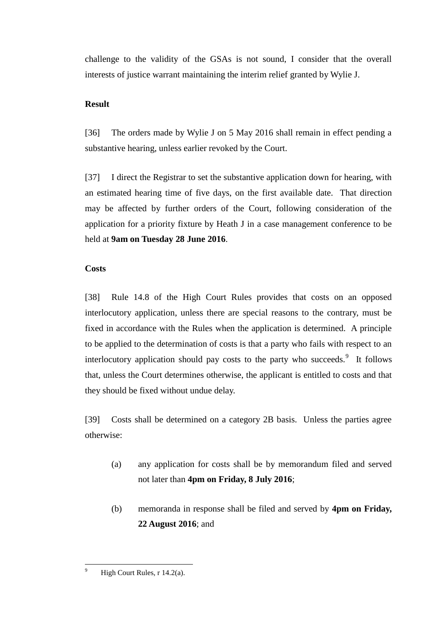challenge to the validity of the GSAs is not sound, I consider that the overall interests of justice warrant maintaining the interim relief granted by Wylie J.

## **Result**

[36] The orders made by Wylie J on 5 May 2016 shall remain in effect pending a substantive hearing, unless earlier revoked by the Court.

[37] I direct the Registrar to set the substantive application down for hearing, with an estimated hearing time of five days, on the first available date. That direction may be affected by further orders of the Court, following consideration of the application for a priority fixture by Heath J in a case management conference to be held at **9am on Tuesday 28 June 2016**.

# **Costs**

[38] Rule 14.8 of the High Court Rules provides that costs on an opposed interlocutory application, unless there are special reasons to the contrary, must be fixed in accordance with the Rules when the application is determined. A principle to be applied to the determination of costs is that a party who fails with respect to an interlocutory application should pay costs to the party who succeeds.<sup>9</sup> It follows that, unless the Court determines otherwise, the applicant is entitled to costs and that they should be fixed without undue delay.

[39] Costs shall be determined on a category 2B basis. Unless the parties agree otherwise:

- (a) any application for costs shall be by memorandum filed and served not later than **4pm on Friday, 8 July 2016**;
- (b) memoranda in response shall be filed and served by **4pm on Friday, 22 August 2016**; and

 $\overline{9}$ High Court Rules,  $r$  14.2(a).